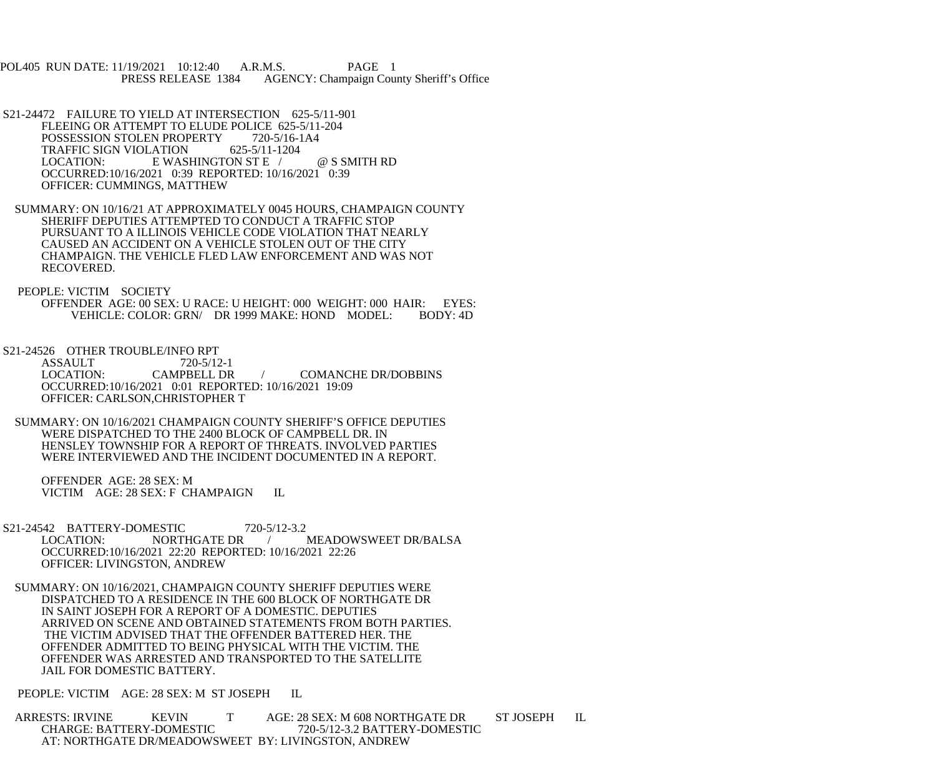POL405 RUN DATE: 11/19/2021 10:12:40 A.R.M.S. PAGE 1<br>PRESS RELEASE 1384 AGENCY: Champaign Cou AGENCY: Champaign County Sheriff's Office

- S21-24472 FAILURE TO YIELD AT INTERSECTION 625-5/11-901 FLEEING OR ATTEMPT TO ELUDE POLICE 625-5/11-204 POSSESSION STOLEN PROPERTY 720-5/16-1A4<br>TRAFFIC SIGN VIOLATION 625-5/11-1204 TRAFFIC SIGN VIOLATION<br>LOCATION: E WAS E WASHINGTON ST E / @ S SMITH RD OCCURRED:10/16/2021 0:39 REPORTED: 10/16/2021 0:39 OFFICER: CUMMINGS, MATTHEW
- SUMMARY: ON 10/16/21 AT APPROXIMATELY 0045 HOURS, CHAMPAIGN COUNTY SHERIFF DEPUTIES ATTEMPTED TO CONDUCT A TRAFFIC STOP PURSUANT TO A ILLINOIS VEHICLE CODE VIOLATION THAT NEARLY CAUSED AN ACCIDENT ON A VEHICLE STOLEN OUT OF THE CITY CHAMPAIGN. THE VEHICLE FLED LAW ENFORCEMENT AND WAS NOT RECOVERED.
- PEOPLE: VICTIM SOCIETY OFFENDER AGE: 00 SEX: U RACE: U HEIGHT: 000 WEIGHT: 000 HAIR: EYES:<br>VEHICLE: COLOR: GRN/ DR 1999 MAKE: HOND MODEL: BODY: 4D VEHICLE: COLOR: GRN/ DR 1999 MAKE: HOND MODEL:
- S21-24526 OTHER TROUBLE/INFO RPT<br>ASSAULT 720-5/12-1

ASSAULT 720-5/12-1<br>LOCATION: CAMPBELL DR / COMANCHE DR/DOBBINS OCCURRED:10/16/2021 0:01 REPORTED: 10/16/2021 19:09 OFFICER: CARLSON,CHRISTOPHER T

 SUMMARY: ON 10/16/2021 CHAMPAIGN COUNTY SHERIFF'S OFFICE DEPUTIES WERE DISPATCHED TO THE 2400 BLOCK OF CAMPBELL DR. IN HENSLEY TOWNSHIP FOR A REPORT OF THREATS. INVOLVED PARTIES WERE INTERVIEWED AND THE INCIDENT DOCUMENTED IN A REPORT.

 OFFENDER AGE: 28 SEX: M VICTIM AGE: 28 SEX: F CHAMPAIGN IL

- S21-24542 BATTERY-DOMESTIC 720-5/12-3.2<br>LOCATION: NORTHGATE DR LOCATION: NORTHGATE DR / MEADOWSWEET DR/BALSA OCCURRED:10/16/2021 22:20 REPORTED: 10/16/2021 22:26 OFFICER: LIVINGSTON, ANDREW
- SUMMARY: ON 10/16/2021, CHAMPAIGN COUNTY SHERIFF DEPUTIES WERE DISPATCHED TO A RESIDENCE IN THE 600 BLOCK OF NORTHGATE DR IN SAINT JOSEPH FOR A REPORT OF A DOMESTIC. DEPUTIES ARRIVED ON SCENE AND OBTAINED STATEMENTS FROM BOTH PARTIES. THE VICTIM ADVISED THAT THE OFFENDER BATTERED HER. THE OFFENDER ADMITTED TO BEING PHYSICAL WITH THE VICTIM. THE OFFENDER WAS ARRESTED AND TRANSPORTED TO THE SATELLITE JAIL FOR DOMESTIC BATTERY.

PEOPLE: VICTIM AGE: 28 SEX: M ST JOSEPH IL

ARRESTS: IRVINE KEVIN T AGE: 28 SEX: M 608 NORTHGATE DR ST JOSEPH IL CHARGE: BATTERY-DOMESTIC 720-5/12-3.2 BATTERY-DOMESTIC CHARGE: BATTERY-DOMESTIC 720-5/12-3.2 BATTERY-DOMESTIC AT: NORTHGATE DR/MEADOWSWEET BY: LIVINGSTON, ANDREW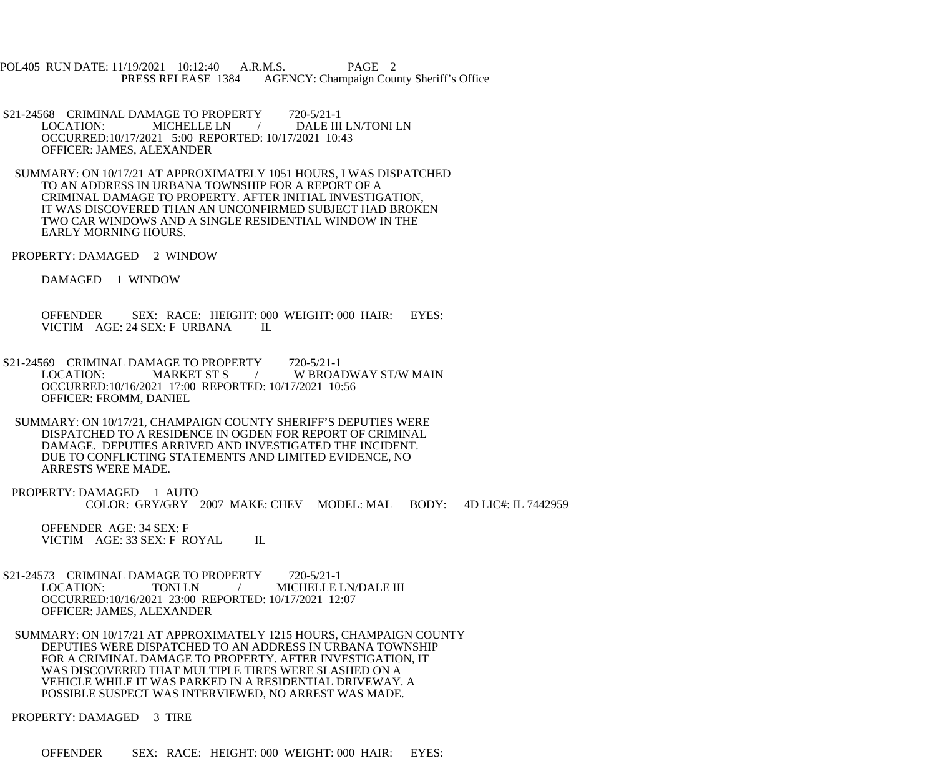POL405 RUN DATE: 11/19/2021 10:12:40 A.R.M.S. PAGE 2 PRESS RELEASE 1384 AGENCY: Champaign County Sheriff's Office

S21-24568 CRIMINAL DAMAGE TO PROPERTY 720-5/21-1<br>LOCATION: MICHELLE LN / DALE III DALE III LN/TONI LN OCCURRED:10/17/2021 5:00 REPORTED: 10/17/2021 10:43 OFFICER: JAMES, ALEXANDER

 SUMMARY: ON 10/17/21 AT APPROXIMATELY 1051 HOURS, I WAS DISPATCHED TO AN ADDRESS IN URBANA TOWNSHIP FOR A REPORT OF A CRIMINAL DAMAGE TO PROPERTY. AFTER INITIAL INVESTIGATION, IT WAS DISCOVERED THAN AN UNCONFIRMED SUBJECT HAD BROKEN TWO CAR WINDOWS AND A SINGLE RESIDENTIAL WINDOW IN THE EARLY MORNING HOURS.

PROPERTY: DAMAGED 2 WINDOW

DAMAGED 1 WINDOW

 OFFENDER SEX: RACE: HEIGHT: 000 WEIGHT: 000 HAIR: EYES: VICTIM AGE: 24 SEX: F URBANA IL

S21-24569 CRIMINAL DAMAGE TO PROPERTY 720-5/21-1<br>LOCATION: MARKET ST S / W BROA / W BROADWAY ST/W MAIN OCCURRED:10/16/2021 17:00 REPORTED: 10/17/2021 10:56 OFFICER: FROMM, DANIEL

 SUMMARY: ON 10/17/21, CHAMPAIGN COUNTY SHERIFF'S DEPUTIES WERE DISPATCHED TO A RESIDENCE IN OGDEN FOR REPORT OF CRIMINAL DAMAGE. DEPUTIES ARRIVED AND INVESTIGATED THE INCIDENT. DUE TO CONFLICTING STATEMENTS AND LIMITED EVIDENCE, NO ARRESTS WERE MADE.

PROPERTY: DAMAGED 1 AUTO COLOR: GRY/GRY 2007 MAKE: CHEV MODEL: MAL BODY: 4D LIC#: IL 7442959

 OFFENDER AGE: 34 SEX: F VICTIM AGE: 33 SEX: F ROYAL IL

S21-24573 CRIMINAL DAMAGE TO PROPERTY 720-5/21-1 LOCATION: TONI LN / MICHELLE LN/DALE III OCCURRED:10/16/2021 23:00 REPORTED: 10/17/2021 12:07 OFFICER: JAMES, ALEXANDER

 SUMMARY: ON 10/17/21 AT APPROXIMATELY 1215 HOURS, CHAMPAIGN COUNTY DEPUTIES WERE DISPATCHED TO AN ADDRESS IN URBANA TOWNSHIP FOR A CRIMINAL DAMAGE TO PROPERTY. AFTER INVESTIGATION, IT WAS DISCOVERED THAT MULTIPLE TIRES WERE SLASHED ON A VEHICLE WHILE IT WAS PARKED IN A RESIDENTIAL DRIVEWAY. A POSSIBLE SUSPECT WAS INTERVIEWED, NO ARREST WAS MADE.

PROPERTY: DAMAGED 3 TIRE

OFFENDER SEX: RACE: HEIGHT: 000 WEIGHT: 000 HAIR: EYES: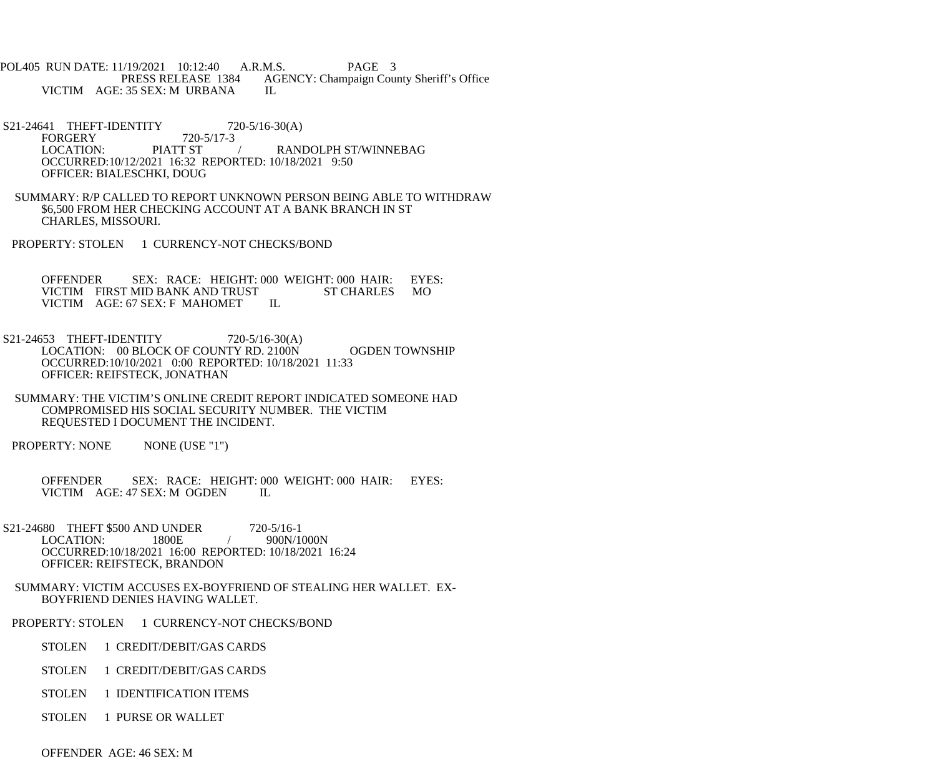POL405 RUN DATE: 11/19/2021 10:12:40 A.R.M.S. PAGE 3<br>PRESS RELEASE 1384 AGENCY: Champaign Cou AGENCY: Champaign County Sheriff's Office VICTIM AGE: 35 SEX: M URBANA IL

S21-24641 THEFT-IDENTITY 720-5/16-30(A) FORGERY 720-5/17-3<br>LOCATION: PIATT ST LOCATION: PIATT ST / RANDOLPH ST/WINNEBAG OCCURRED:10/12/2021 16:32 REPORTED: 10/18/2021 9:50 OFFICER: BIALESCHKI, DOUG

- SUMMARY: R/P CALLED TO REPORT UNKNOWN PERSON BEING ABLE TO WITHDRAW \$6,500 FROM HER CHECKING ACCOUNT AT A BANK BRANCH IN ST CHARLES, MISSOURI.
- PROPERTY: STOLEN 1 CURRENCY-NOT CHECKS/BOND

OFFENDER SEX: RACE: HEIGHT: 000 WEIGHT: 000 HAIR: EYES:<br>VICTIM FIRST MID BANK AND TRUST ST CHARLES MO VICTIM FIRST MID BANK AND TRUST<br>VICTIM AGE: 67 SEX: F MAHOMET IL VICTIM AGE: 67 SEX: F MAHOMET

- S21-24653 THEFT-IDENTITY 720-5/16-30(A) LOCATION: 00 BLOCK OF COUNTY RD. 2100N OGDEN TOWNSHIP OCCURRED:10/10/2021 0:00 REPORTED: 10/18/2021 11:33 OFFICER: REIFSTECK, JONATHAN
- SUMMARY: THE VICTIM'S ONLINE CREDIT REPORT INDICATED SOMEONE HAD COMPROMISED HIS SOCIAL SECURITY NUMBER. THE VICTIM REQUESTED I DOCUMENT THE INCIDENT.
- PROPERTY: NONE NONE (USE "1")

OFFENDER SEX: RACE: HEIGHT: 000 WEIGHT: 000 HAIR: EYES:<br>VICTIM AGE: 47 SEX: M OGDEN IL VICTIM AGE: 47 SEX: M OGDEN

S21-24680 THEFT \$500 AND UNDER 720-5/16-1<br>LOCATION: 1800E / 900N/1000N LOCATION: 1800E OCCURRED:10/18/2021 16:00 REPORTED: 10/18/2021 16:24 OFFICER: REIFSTECK, BRANDON

- SUMMARY: VICTIM ACCUSES EX-BOYFRIEND OF STEALING HER WALLET. EX- BOYFRIEND DENIES HAVING WALLET.
- PROPERTY: STOLEN 1 CURRENCY-NOT CHECKS/BOND
	- STOLEN 1 CREDIT/DEBIT/GAS CARDS
	- STOLEN 1 CREDIT/DEBIT/GAS CARDS
	- STOLEN 1 IDENTIFICATION ITEMS
	- STOLEN 1 PURSE OR WALLET

OFFENDER AGE: 46 SEX: M